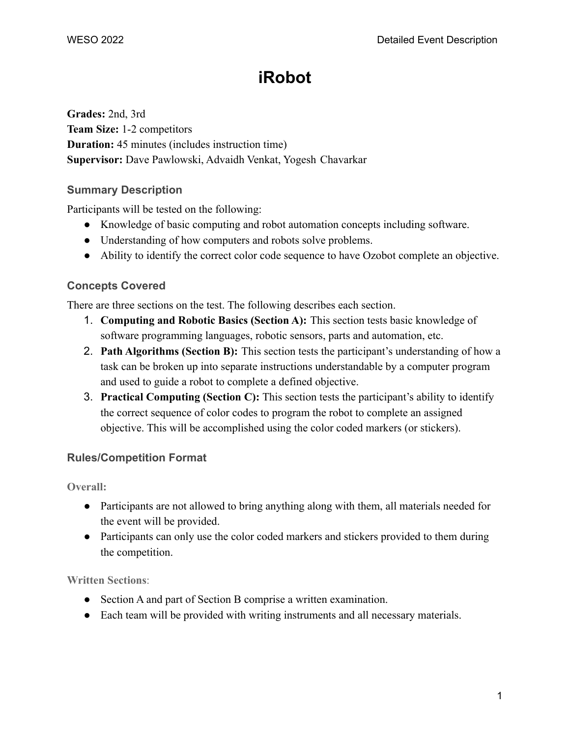# **iRobot**

**Grades:** 2nd, 3rd **Team Size:** 1-2 competitors **Duration:** 45 minutes (includes instruction time) **Supervisor:** Dave Pawlowski, Advaidh Venkat, Yogesh Chavarkar

# **Summary Description**

Participants will be tested on the following:

- Knowledge of basic computing and robot automation concepts including software.
- Understanding of how computers and robots solve problems.
- Ability to identify the correct color code sequence to have Ozobot complete an objective.

# **Concepts Covered**

There are three sections on the test. The following describes each section.

- 1. **Computing and Robotic Basics (Section A):** This section tests basic knowledge of software programming languages, robotic sensors, parts and automation, etc.
- 2. **Path Algorithms (Section B):** This section tests the participant's understanding of how a task can be broken up into separate instructions understandable by a computer program and used to guide a robot to complete a defined objective.
- 3. **Practical Computing (Section C):** This section tests the participant's ability to identify the correct sequence of color codes to program the robot to complete an assigned objective. This will be accomplished using the color coded markers (or stickers).

# **Rules/Competition Format**

**Overall:**

- Participants are not allowed to bring anything along with them, all materials needed for the event will be provided.
- Participants can only use the color coded markers and stickers provided to them during the competition.

**Written Sections**:

- Section A and part of Section B comprise a written examination.
- Each team will be provided with writing instruments and all necessary materials.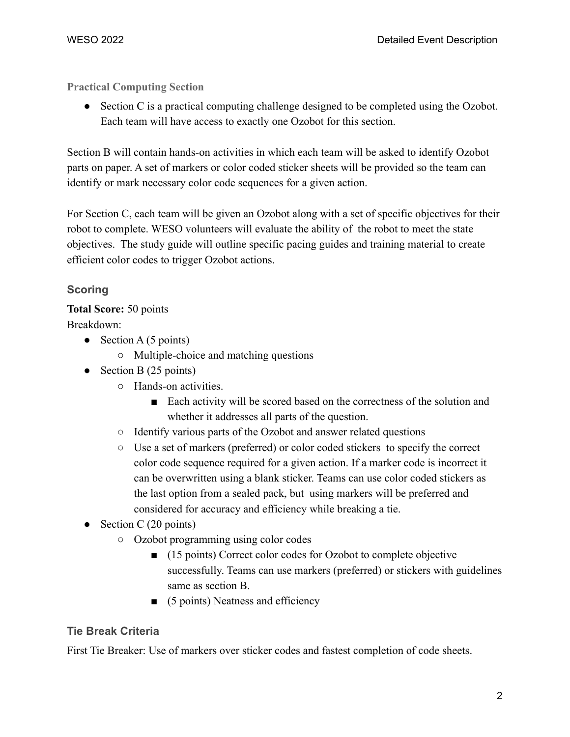**Practical Computing Section**

• Section C is a practical computing challenge designed to be completed using the Ozobot. Each team will have access to exactly one Ozobot for this section.

Section B will contain hands-on activities in which each team will be asked to identify Ozobot parts on paper. A set of markers or color coded sticker sheets will be provided so the team can identify or mark necessary color code sequences for a given action.

For Section C, each team will be given an Ozobot along with a set of specific objectives for their robot to complete. WESO volunteers will evaluate the ability of the robot to meet the state objectives. The study guide will outline specific pacing guides and training material to create efficient color codes to trigger Ozobot actions.

## **Scoring**

## **Total Score:** 50 points

Breakdown:

- $\bullet$  Section A (5 points)
	- Multiple-choice and matching questions
- Section B  $(25 \text{ points})$ 
	- Hands-on activities.
		- Each activity will be scored based on the correctness of the solution and whether it addresses all parts of the question.
	- Identify various parts of the Ozobot and answer related questions
	- Use a set of markers (preferred) or color coded stickers to specify the correct color code sequence required for a given action. If a marker code is incorrect it can be overwritten using a blank sticker. Teams can use color coded stickers as the last option from a sealed pack, but using markers will be preferred and considered for accuracy and efficiency while breaking a tie.
- Section C  $(20 \text{ points})$ 
	- Ozobot programming using color codes
		- (15 points) Correct color codes for Ozobot to complete objective successfully. Teams can use markers (preferred) or stickers with guidelines same as section B.
		- $\Box$  (5 points) Neatness and efficiency

# **Tie Break Criteria**

First Tie Breaker: Use of markers over sticker codes and fastest completion of code sheets.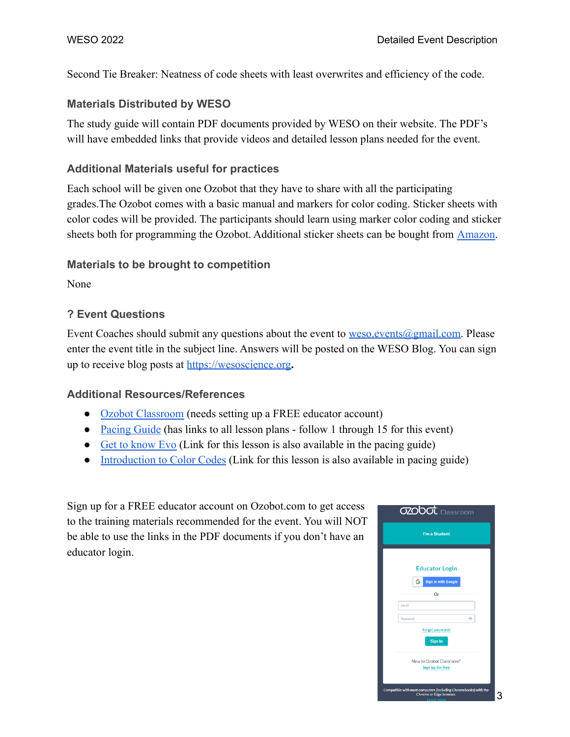Second Tie Breaker: Neatness of code sheets with least overwrites and efficiency of the code.

#### **Materials Distributed by WESO**

The study guide will contain PDF documents provided by WESO on their website. The PDF's will have embedded links that provide videos and detailed lesson plans needed for the event.

#### **Additional Materials useful for practices**

Each school will be given one Ozobot that they have to share with all the participating grades.The Ozobot comes with a basic manual and markers for color coding. Sticker sheets with color codes will be provided. The participants should learn using marker color coding and sticker sheets both for programming the Ozobot. Additional sticker sheets can be bought from [Amazon.](https://smile.amazon.com/Overwrite-Sticker-Codes-Pack-Ozobot/dp/B01BXA481M/ref=sr_1_1?crid=37V7QKV9V510S&keywords=ozobot+sticker+codes&qid=1644177008&sprefix=ozobot+sticker+codes%2Caps%2C105&sr=8-1)

#### **Materials to be brought to competition**

None

## **? Event Questions**

Event Coaches should submit any questions about the event to [weso.events@gmail.com.](mailto:weso.events@gmail.com) Please enter the event title in the subject line. Answers will be posted on the WESO Blog. You can sign up to receive blog posts at <https://wesoscience.org>**.**

#### **Additional Resources/References**

- [Ozobot Classroom](https://classroom.ozobot.com/dashboard) (needs setting up a FREE educator account)
- [Pacing Guide](https://files.ozobot.com/resources/ozobot-pacing-guide-2nd-grade.pdf) (has links to all lesson plans follow 1 through 15 for this event)
- [Get to know Evo](https://stg-files.ozobot.com/lessons/null/introductiontoozobotgettoknowevo.Vq93I5RMRYOUEf8fkfZRhQaW.pdf) (Link for this lesson is also available in the pacing guide)
- [Introduction to Color Codes](https://stg-files.ozobot.com/lessons/1e026e7c-96a9-43db-bd0c-a750dc98af4d/introductiontocolorcodes02speed.nZnxLU1DTSWCdxsxqtHWgwOQ.pdf) (Link for this lesson is also available in pacing guide)

Sign up for a FREE educator account on Ozobot.com to get access to the training materials recommended for the event. You will NOT be able to use the links in the PDF documents if you don't have an educator login.

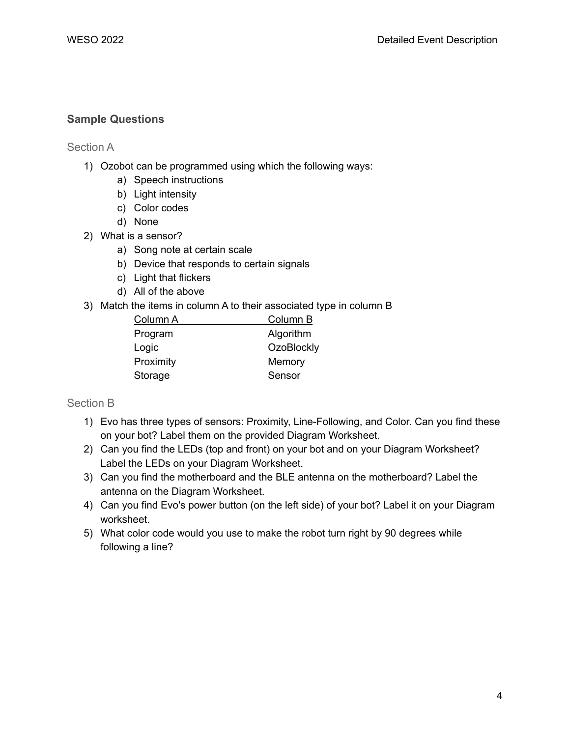## **Sample Questions**

Section A

- 1) Ozobot can be programmed using which the following ways:
	- a) Speech instructions
	- b) Light intensity
	- c) Color codes
	- d) None
- 2) What is a sensor?
	- a) Song note at certain scale
	- b) Device that responds to certain signals
	- c) Light that flickers
	- d) All of the above
- 3) Match the items in column A to their associated type in column B

| Column A  | Column B          |
|-----------|-------------------|
| Program   | Algorithm         |
| Logic     | <b>OzoBlockly</b> |
| Proximity | Memory            |
| Storage   | Sensor            |

Section B

- 1) Evo has three types of sensors: Proximity, Line-Following, and Color. Can you find these on your bot? Label them on the provided Diagram Worksheet.
- 2) Can you find the LEDs (top and front) on your bot and on your Diagram Worksheet? Label the LEDs on your Diagram Worksheet.
- 3) Can you find the motherboard and the BLE antenna on the motherboard? Label the antenna on the Diagram Worksheet.
- 4) Can you find Evo's power button (on the left side) of your bot? Label it on your Diagram worksheet.
- 5) What color code would you use to make the robot turn right by 90 degrees while following a line?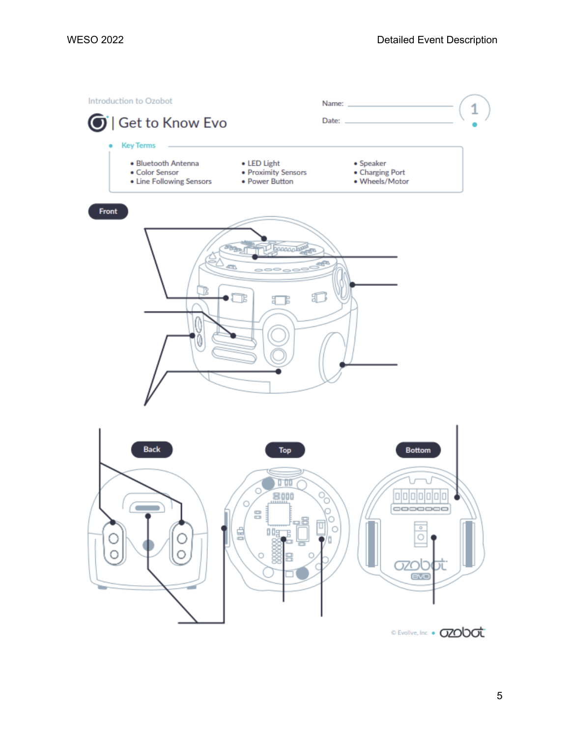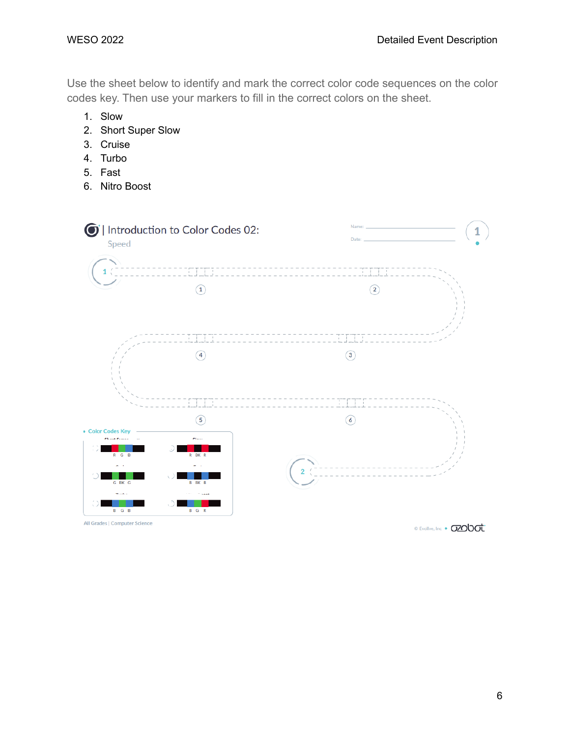Use the sheet below to identify and mark the correct color code sequences on the color codes key. Then use your markers to fill in the correct colors on the sheet.

- 1. Slow
- 2. Short Super Slow
- 3. Cruise
- 4. Turbo
- 5. Fast
- 6. Nitro Boost